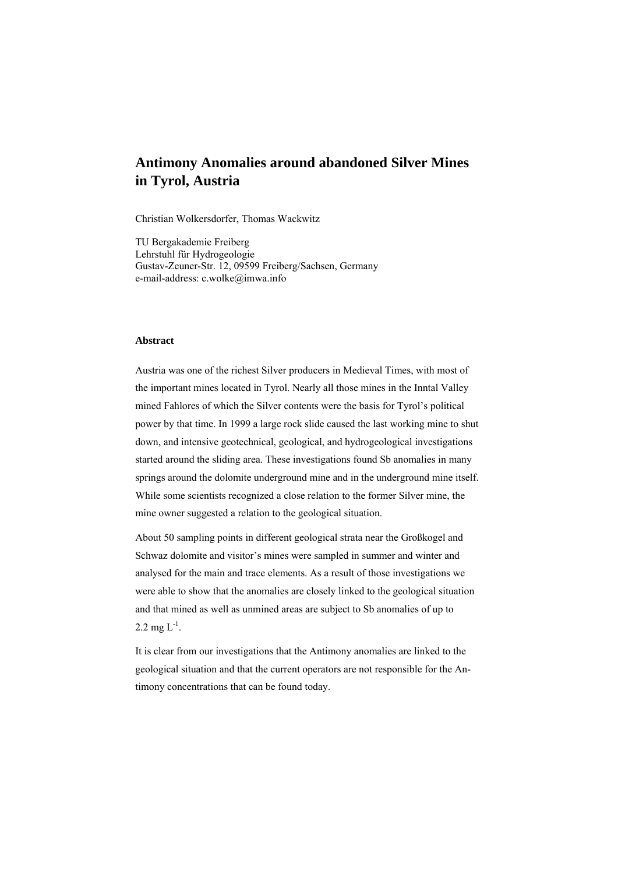# **Antimony Anomalies around abandoned Silver Mines in Tyrol, Austria**

Christian Wolkersdorfer, Thomas Wackwitz

TU Bergakademie Freiberg Lehrstuhl für Hydrogeologie Gustav-Zeuner-Str. 12, 09599 Freiberg/Sachsen, Germany e-mail-address: c.wolke@imwa.info

#### **Abstract**

Austria was one of the richest Silver producers in Medieval Times, with most of the important mines located in Tyrol. Nearly all those mines in the Inntal Valley mined Fahlores of which the Silver contents were the basis for Tyrol's political power by that time. In 1999 a large rock slide caused the last working mine to shut down, and intensive geotechnical, geological, and hydrogeological investigations started around the sliding area. These investigations found Sb anomalies in many springs around the dolomite underground mine and in the underground mine itself. While some scientists recognized a close relation to the former Silver mine, the mine owner suggested a relation to the geological situation.

About 50 sampling points in different geological strata near the Großkogel and Schwaz dolomite and visitor's mines were sampled in summer and winter and analysed for the main and trace elements. As a result of those investigations we were able to show that the anomalies are closely linked to the geological situation and that mined as well as unmined areas are subject to Sb anomalies of up to 2.2 mg  $L^{-1}$ .

It is clear from our investigations that the Antimony anomalies are linked to the geological situation and that the current operators are not responsible for the Antimony concentrations that can be found today.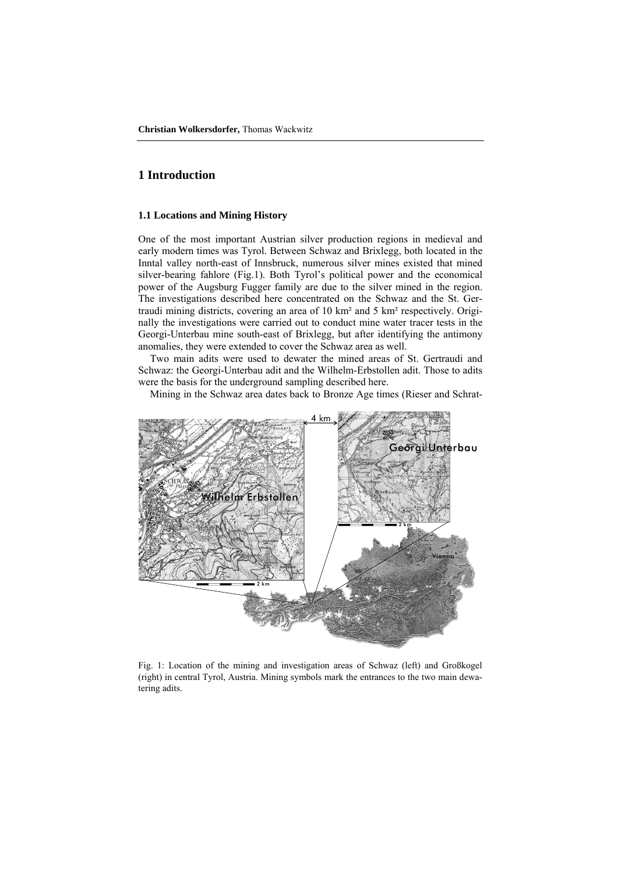## **1 Introduction**

#### **1.1 Locations and Mining History**

One of the most important Austrian silver production regions in medieval and early modern times was Tyrol. Between Schwaz and Brixlegg, both located in the Inntal valley north-east of Innsbruck, numerous silver mines existed that mined silver-bearing fahlore (Fig.1). Both Tyrol's political power and the economical power of the Augsburg Fugger family are due to the silver mined in the region. The investigations described here concentrated on the Schwaz and the St. Gertraudi mining districts, covering an area of 10 km² and 5 km² respectively. Originally the investigations were carried out to conduct mine water tracer tests in the Georgi-Unterbau mine south-east of Brixlegg, but after identifying the antimony anomalies, they were extended to cover the Schwaz area as well.

Two main adits were used to dewater the mined areas of St. Gertraudi and Schwaz: the Georgi-Unterbau adit and the Wilhelm-Erbstollen adit. Those to adits were the basis for the underground sampling described here.

Mining in the Schwaz area dates back to Bronze Age times (Rieser and Schrat-



Fig. 1: Location of the mining and investigation areas of Schwaz (left) and Großkogel (right) in central Tyrol, Austria. Mining symbols mark the entrances to the two main dewatering adits.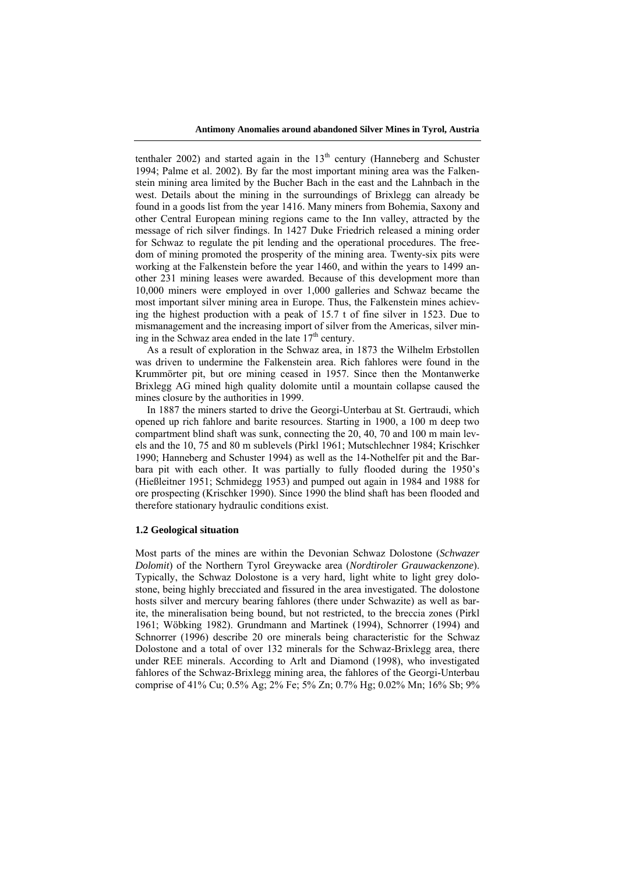tenthaler 2002) and started again in the  $13<sup>th</sup>$  century (Hanneberg and Schuster 1994; Palme et al. 2002). By far the most important mining area was the Falkenstein mining area limited by the Bucher Bach in the east and the Lahnbach in the west. Details about the mining in the surroundings of Brixlegg can already be found in a goods list from the year 1416. Many miners from Bohemia, Saxony and other Central European mining regions came to the Inn valley, attracted by the message of rich silver findings. In 1427 Duke Friedrich released a mining order for Schwaz to regulate the pit lending and the operational procedures. The freedom of mining promoted the prosperity of the mining area. Twenty-six pits were working at the Falkenstein before the year 1460, and within the years to 1499 another 231 mining leases were awarded. Because of this development more than 10,000 miners were employed in over 1,000 galleries and Schwaz became the most important silver mining area in Europe. Thus, the Falkenstein mines achieving the highest production with a peak of 15.7 t of fine silver in 1523. Due to mismanagement and the increasing import of silver from the Americas, silver mining in the Schwaz area ended in the late 17<sup>th</sup> century.

As a result of exploration in the Schwaz area, in 1873 the Wilhelm Erbstollen was driven to undermine the Falkenstein area. Rich fahlores were found in the Krummörter pit, but ore mining ceased in 1957. Since then the Montanwerke Brixlegg AG mined high quality dolomite until a mountain collapse caused the mines closure by the authorities in 1999.

In 1887 the miners started to drive the Georgi-Unterbau at St. Gertraudi, which opened up rich fahlore and barite resources. Starting in 1900, a 100 m deep two compartment blind shaft was sunk, connecting the 20, 40, 70 and 100 m main levels and the 10, 75 and 80 m sublevels (Pirkl 1961; Mutschlechner 1984; Krischker 1990; Hanneberg and Schuster 1994) as well as the 14-Nothelfer pit and the Barbara pit with each other. It was partially to fully flooded during the 1950's (Hießleitner 1951; Schmidegg 1953) and pumped out again in 1984 and 1988 for ore prospecting (Krischker 1990). Since 1990 the blind shaft has been flooded and therefore stationary hydraulic conditions exist.

### **1.2 Geological situation**

Most parts of the mines are within the Devonian Schwaz Dolostone (*Schwazer Dolomit*) of the Northern Tyrol Greywacke area (*Nordtiroler Grauwackenzone*). Typically, the Schwaz Dolostone is a very hard, light white to light grey dolostone, being highly brecciated and fissured in the area investigated. The dolostone hosts silver and mercury bearing fahlores (there under Schwazite) as well as barite, the mineralisation being bound, but not restricted, to the breccia zones (Pirkl 1961; Wöbking 1982). Grundmann and Martinek (1994), Schnorrer (1994) and Schnorrer (1996) describe 20 ore minerals being characteristic for the Schwaz Dolostone and a total of over 132 minerals for the Schwaz-Brixlegg area, there under REE minerals. According to Arlt and Diamond (1998), who investigated fahlores of the Schwaz-Brixlegg mining area, the fahlores of the Georgi-Unterbau comprise of 41% Cu; 0.5% Ag; 2% Fe; 5% Zn; 0.7% Hg; 0.02% Mn; 16% Sb; 9%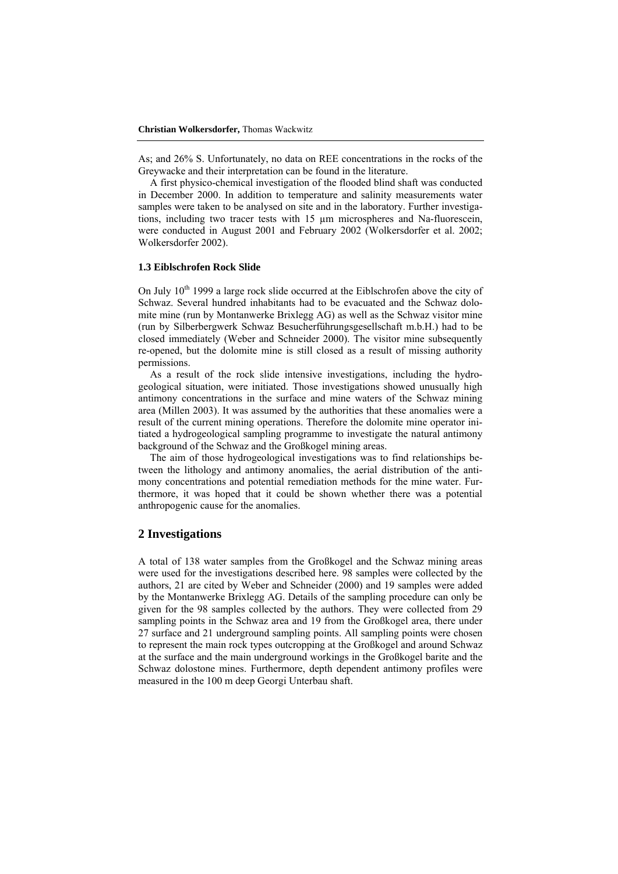As; and 26% S. Unfortunately, no data on REE concentrations in the rocks of the Greywacke and their interpretation can be found in the literature.

A first physico-chemical investigation of the flooded blind shaft was conducted in December 2000. In addition to temperature and salinity measurements water samples were taken to be analysed on site and in the laboratory. Further investigations, including two tracer tests with 15 µm microspheres and Na-fluorescein, were conducted in August 2001 and February 2002 (Wolkersdorfer et al. 2002; Wolkersdorfer 2002).

#### **1.3 Eiblschrofen Rock Slide**

On July  $10^{th}$  1999 a large rock slide occurred at the Eiblschrofen above the city of Schwaz. Several hundred inhabitants had to be evacuated and the Schwaz dolomite mine (run by Montanwerke Brixlegg AG) as well as the Schwaz visitor mine (run by Silberbergwerk Schwaz Besucherführungsgesellschaft m.b.H.) had to be closed immediately (Weber and Schneider 2000). The visitor mine subsequently re-opened, but the dolomite mine is still closed as a result of missing authority permissions.

As a result of the rock slide intensive investigations, including the hydrogeological situation, were initiated. Those investigations showed unusually high antimony concentrations in the surface and mine waters of the Schwaz mining area (Millen 2003). It was assumed by the authorities that these anomalies were a result of the current mining operations. Therefore the dolomite mine operator initiated a hydrogeological sampling programme to investigate the natural antimony background of the Schwaz and the Großkogel mining areas.

The aim of those hydrogeological investigations was to find relationships between the lithology and antimony anomalies, the aerial distribution of the antimony concentrations and potential remediation methods for the mine water. Furthermore, it was hoped that it could be shown whether there was a potential anthropogenic cause for the anomalies.

### **2 Investigations**

A total of 138 water samples from the Großkogel and the Schwaz mining areas were used for the investigations described here. 98 samples were collected by the authors, 21 are cited by Weber and Schneider (2000) and 19 samples were added by the Montanwerke Brixlegg AG. Details of the sampling procedure can only be given for the 98 samples collected by the authors. They were collected from 29 sampling points in the Schwaz area and 19 from the Großkogel area, there under 27 surface and 21 underground sampling points. All sampling points were chosen to represent the main rock types outcropping at the Großkogel and around Schwaz at the surface and the main underground workings in the Großkogel barite and the Schwaz dolostone mines. Furthermore, depth dependent antimony profiles were measured in the 100 m deep Georgi Unterbau shaft.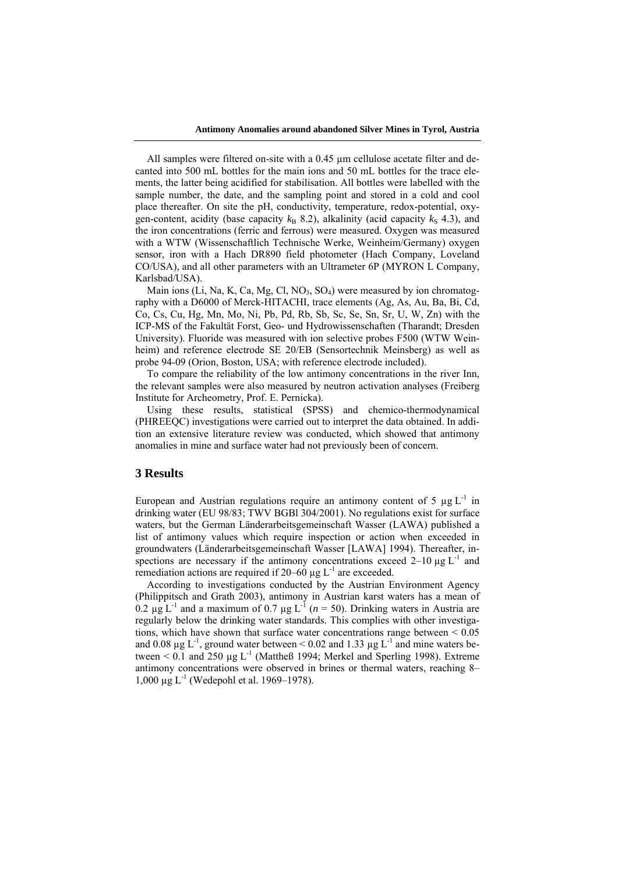All samples were filtered on-site with a 0.45 µm cellulose acetate filter and decanted into 500 mL bottles for the main ions and 50 mL bottles for the trace elements, the latter being acidified for stabilisation. All bottles were labelled with the sample number, the date, and the sampling point and stored in a cold and cool place thereafter. On site the pH, conductivity, temperature, redox-potential, oxygen-content, acidity (base capacity  $k_B$  8.2), alkalinity (acid capacity  $k_S$  4.3), and the iron concentrations (ferric and ferrous) were measured. Oxygen was measured with a WTW (Wissenschaftlich Technische Werke, Weinheim/Germany) oxygen sensor, iron with a Hach DR890 field photometer (Hach Company, Loveland CO/USA), and all other parameters with an Ultrameter 6P (MYRON L Company, Karlsbad/USA).

Main ions (Li, Na, K, Ca, Mg, Cl, NO<sub>3</sub>, SO<sub>4</sub>) were measured by ion chromatography with a D6000 of Merck-HITACHI, trace elements (Ag, As, Au, Ba, Bi, Cd, Co, Cs, Cu, Hg, Mn, Mo, Ni, Pb, Pd, Rb, Sb, Sc, Se, Sn, Sr, U, W, Zn) with the ICP-MS of the Fakultät Forst, Geo- und Hydrowissenschaften (Tharandt; Dresden University). Fluoride was measured with ion selective probes F500 (WTW Weinheim) and reference electrode SE 20/EB (Sensortechnik Meinsberg) as well as probe 94-09 (Orion, Boston, USA; with reference electrode included).

To compare the reliability of the low antimony concentrations in the river Inn, the relevant samples were also measured by neutron activation analyses (Freiberg Institute for Archeometry, Prof. E. Pernicka).

Using these results, statistical (SPSS) and chemico-thermodynamical (PHREEQC) investigations were carried out to interpret the data obtained. In addition an extensive literature review was conducted, which showed that antimony anomalies in mine and surface water had not previously been of concern.

### **3 Results**

European and Austrian regulations require an antimony content of 5  $\mu$ g L<sup>-1</sup> in drinking water (EU 98/83; TWV BGBl 304/2001). No regulations exist for surface waters, but the German Länderarbeitsgemeinschaft Wasser (LAWA) published a list of antimony values which require inspection or action when exceeded in groundwaters (Länderarbeitsgemeinschaft Wasser [LAWA] 1994). Thereafter, inspections are necessary if the antimony concentrations exceed  $2-10 \mu g L^{-1}$  and remediation actions are required if  $20-60 \mu g L^{-1}$  are exceeded.

According to investigations conducted by the Austrian Environment Agency (Philippitsch and Grath 2003), antimony in Austrian karst waters has a mean of  $0.2 \text{ u}^2$  L<sup>-1</sup> and a maximum of 0.7 ug L<sup>-1</sup> ( $n = 50$ ). Drinking waters in Austria are regularly below the drinking water standards. This complies with other investigations, which have shown that surface water concentrations range between  $\leq 0.05$ and 0.08  $\mu$ g L<sup>-1</sup>, ground water between < 0.02 and 1.33  $\mu$ g L<sup>-1</sup> and mine waters between  $\leq 0.1$  and 250 µg L<sup>-1</sup> (Mattheß 1994; Merkel and Sperling 1998). Extreme antimony concentrations were observed in brines or thermal waters, reaching 8– 1,000  $\mu$ g L<sup>-1</sup> (Wedepohl et al. 1969–1978).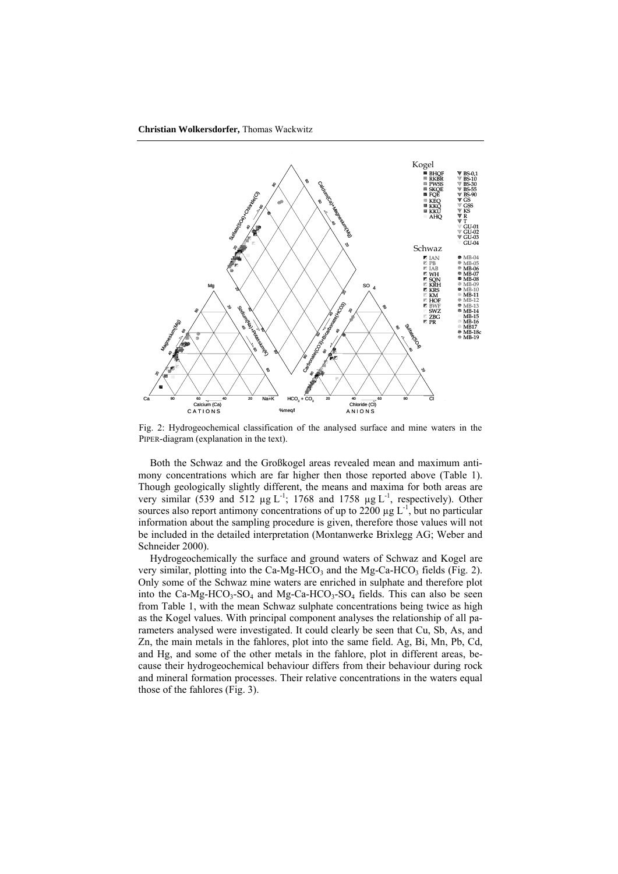

Fig. 2: Hydrogeochemical classification of the analysed surface and mine waters in the PIPER-diagram (explanation in the text).

Both the Schwaz and the Großkogel areas revealed mean and maximum antimony concentrations which are far higher then those reported above (Table 1). Though geologically slightly different, the means and maxima for both areas are very similar (539 and 512  $\mu$ g L<sup>-1</sup>; 1768 and 1758  $\mu$ g L<sup>-1</sup>, respectively). Other sources also report antimony concentrations of up to  $2200 \mu g L^{-1}$ , but no particular information about the sampling procedure is given, therefore those values will not be included in the detailed interpretation (Montanwerke Brixlegg AG; Weber and Schneider 2000).

Hydrogeochemically the surface and ground waters of Schwaz and Kogel are very similar, plotting into the Ca-Mg-HCO<sub>3</sub> and the Mg-Ca-HCO<sub>3</sub> fields (Fig. 2). Only some of the Schwaz mine waters are enriched in sulphate and therefore plot into the Ca-Mg-HCO<sub>3</sub>-SO<sub>4</sub> and Mg-Ca-HCO<sub>3</sub>-SO<sub>4</sub> fields. This can also be seen from Table 1, with the mean Schwaz sulphate concentrations being twice as high as the Kogel values. With principal component analyses the relationship of all parameters analysed were investigated. It could clearly be seen that Cu, Sb, As, and Zn, the main metals in the fahlores, plot into the same field. Ag, Bi, Mn, Pb, Cd, and Hg, and some of the other metals in the fahlore, plot in different areas, because their hydrogeochemical behaviour differs from their behaviour during rock and mineral formation processes. Their relative concentrations in the waters equal those of the fahlores (Fig. 3).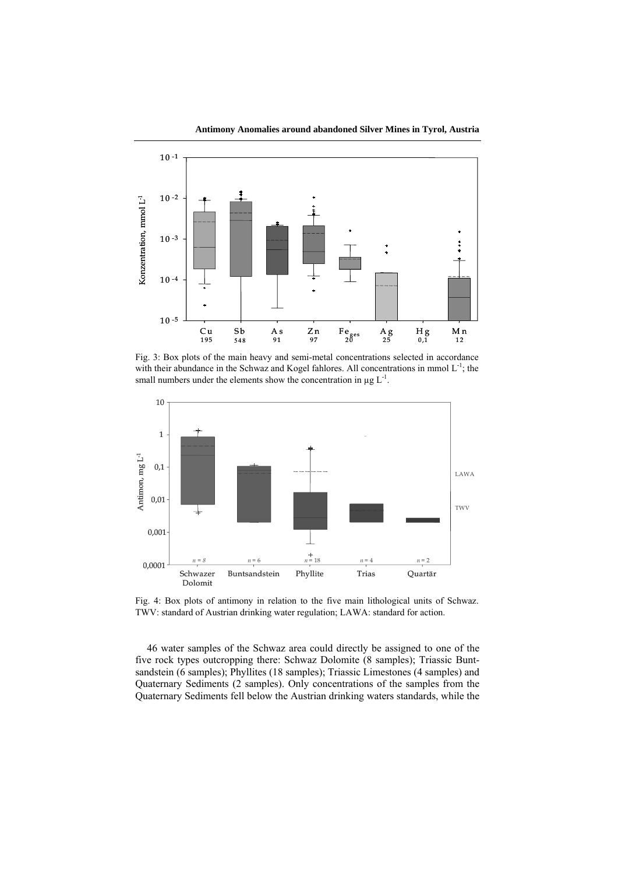

**Antimony Anomalies around abandoned Silver Mines in Tyrol, Austria**

Fig. 3: Box plots of the main heavy and semi-metal concentrations selected in accordance with their abundance in the Schwaz and Kogel fahlores. All concentrations in mmol  $L^{-1}$ ; the small numbers under the elements show the concentration in  $\mu$ g L<sup>-1</sup>.



Fig. 4: Box plots of antimony in relation to the five main lithological units of Schwaz. TWV: standard of Austrian drinking water regulation; LAWA: standard for action.

46 water samples of the Schwaz area could directly be assigned to one of the five rock types outcropping there: Schwaz Dolomite (8 samples); Triassic Buntsandstein (6 samples); Phyllites (18 samples); Triassic Limestones (4 samples) and Quaternary Sediments (2 samples). Only concentrations of the samples from the Quaternary Sediments fell below the Austrian drinking waters standards, while the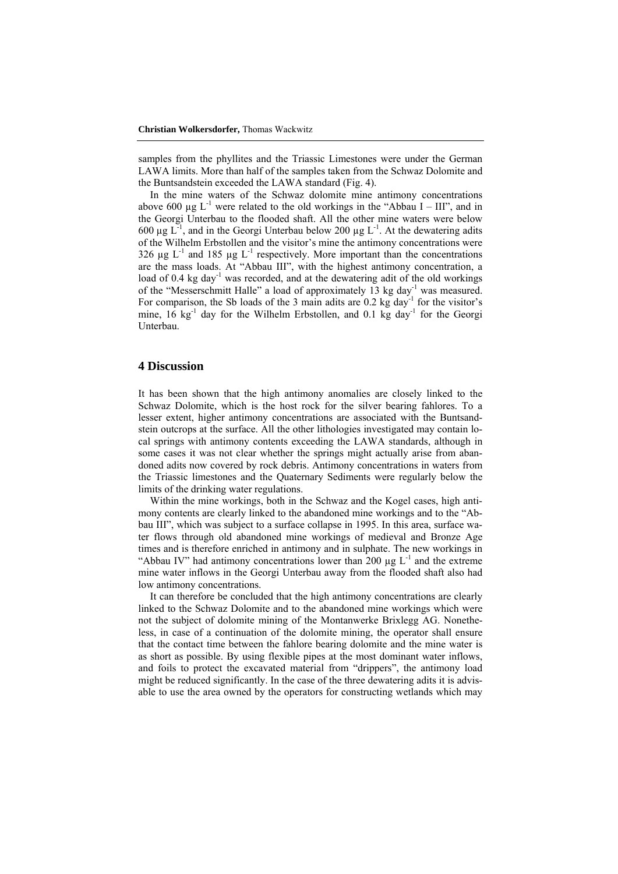samples from the phyllites and the Triassic Limestones were under the German LAWA limits. More than half of the samples taken from the Schwaz Dolomite and the Buntsandstein exceeded the LAWA standard (Fig. 4).

In the mine waters of the Schwaz dolomite mine antimony concentrations above 600  $\mu$ g L<sup>-1</sup> were related to the old workings in the "Abbau I – III", and in the Georgi Unterbau to the flooded shaft. All the other mine waters were below 600  $\mu$ g L<sup>-1</sup>, and in the Georgi Unterbau below 200  $\mu$ g L<sup>-1</sup>. At the dewatering adits of the Wilhelm Erbstollen and the visitor's mine the antimony concentrations were 326  $\mu$ g L<sup>-1</sup> and 185  $\mu$ g L<sup>-1</sup> respectively. More important than the concentrations are the mass loads. At "Abbau III", with the highest antimony concentration, a load of 0.4 kg day<sup>-1</sup> was recorded, and at the dewatering adit of the old workings of the "Messerschmitt Halle" a load of approximately 13 kg day<sup>-1</sup> was measured. For comparison, the Sb loads of the 3 main adits are  $0.2 \text{ kg day}^{-1}$  for the visitor's mine,  $16 \text{ kg}^{-1}$  day for the Wilhelm Erbstollen, and 0.1 kg day<sup>-1</sup> for the Georgi Unterbau.

### **4 Discussion**

It has been shown that the high antimony anomalies are closely linked to the Schwaz Dolomite, which is the host rock for the silver bearing fahlores. To a lesser extent, higher antimony concentrations are associated with the Buntsandstein outcrops at the surface. All the other lithologies investigated may contain local springs with antimony contents exceeding the LAWA standards, although in some cases it was not clear whether the springs might actually arise from abandoned adits now covered by rock debris. Antimony concentrations in waters from the Triassic limestones and the Quaternary Sediments were regularly below the limits of the drinking water regulations.

Within the mine workings, both in the Schwaz and the Kogel cases, high antimony contents are clearly linked to the abandoned mine workings and to the "Abbau III", which was subject to a surface collapse in 1995. In this area, surface water flows through old abandoned mine workings of medieval and Bronze Age times and is therefore enriched in antimony and in sulphate. The new workings in "Abbau IV" had antimony concentrations lower than 200  $\mu$ g L<sup>-1</sup> and the extreme mine water inflows in the Georgi Unterbau away from the flooded shaft also had low antimony concentrations.

It can therefore be concluded that the high antimony concentrations are clearly linked to the Schwaz Dolomite and to the abandoned mine workings which were not the subject of dolomite mining of the Montanwerke Brixlegg AG. Nonetheless, in case of a continuation of the dolomite mining, the operator shall ensure that the contact time between the fahlore bearing dolomite and the mine water is as short as possible. By using flexible pipes at the most dominant water inflows, and foils to protect the excavated material from "drippers", the antimony load might be reduced significantly. In the case of the three dewatering adits it is advisable to use the area owned by the operators for constructing wetlands which may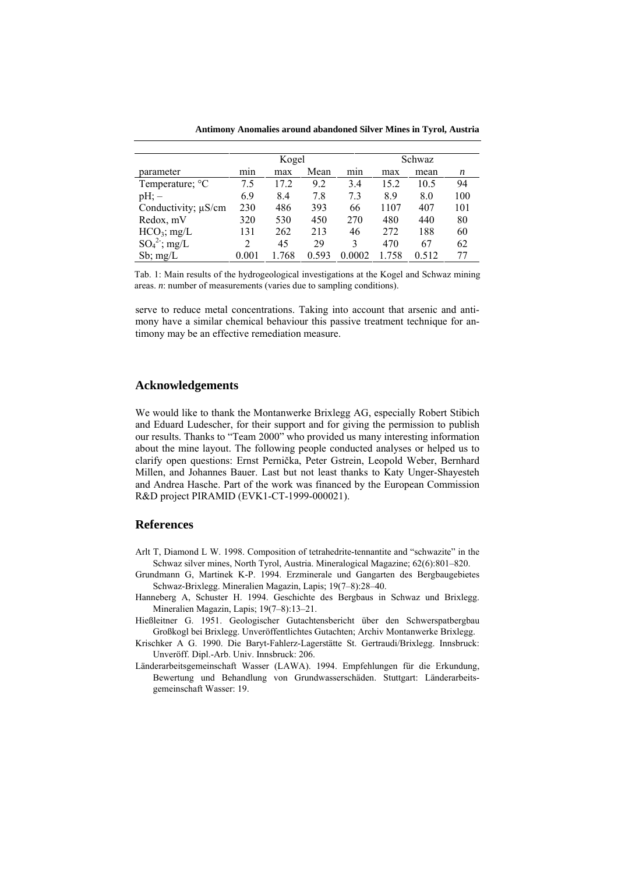**Antimony Anomalies around abandoned Silver Mines in Tyrol, Austria**

|                             | Kogel |       |       |        | Schwaz |       |     |  |
|-----------------------------|-------|-------|-------|--------|--------|-------|-----|--|
| parameter                   | min   | max   | Mean  | min    | max    | mean  | n   |  |
| Temperature; <sup>o</sup> C | 7.5   | 17.2  | 9.2   | 3.4    | 15.2   | 10.5  | 94  |  |
| $pH$ ; $-$                  | 6.9   | 8.4   | 7.8   | 7.3    | 8.9    | 8.0   | 100 |  |
| Conductivity; $\mu$ S/cm    | 230   | 486   | 393   | 66     | 1107   | 407   | 101 |  |
| Redox, mV                   | 320   | 530   | 450   | 270    | 480    | 440   | 80  |  |
| $HCO_3$ ; mg/L              | 131   | 262   | 213   | 46     | 272    | 188   | 60  |  |
| $SO_4^2$ ; mg/L             | 2     | 45    | 29    | 3      | 470    | 67    | 62  |  |
| $Sb$ ; mg/L                 | 0.001 | 1.768 | 0.593 | 0.0002 | .758   | 0.512 | 77  |  |

Tab. 1: Main results of the hydrogeological investigations at the Kogel and Schwaz mining areas. *n*: number of measurements (varies due to sampling conditions).

serve to reduce metal concentrations. Taking into account that arsenic and antimony have a similar chemical behaviour this passive treatment technique for antimony may be an effective remediation measure.

### **Acknowledgements**

We would like to thank the Montanwerke Brixlegg AG, especially Robert Stibich and Eduard Ludescher, for their support and for giving the permission to publish our results. Thanks to "Team 2000" who provided us many interesting information about the mine layout. The following people conducted analyses or helped us to clarify open questions: Ernst Pernička, Peter Gstrein, Leopold Weber, Bernhard Millen, and Johannes Bauer. Last but not least thanks to Katy Unger-Shayesteh and Andrea Hasche. Part of the work was financed by the European Commission R&D project PIRAMID (EVK1-CT-1999-000021).

### **References**

- Arlt T, Diamond L W. 1998. Composition of tetrahedrite-tennantite and "schwazite" in the Schwaz silver mines, North Tyrol, Austria. Mineralogical Magazine; 62(6):801–820.
- Grundmann G, Martinek K-P. 1994. Erzminerale und Gangarten des Bergbaugebietes Schwaz-Brixlegg. Mineralien Magazin, Lapis; 19(7–8):28–40.
- Hanneberg A, Schuster H. 1994. Geschichte des Bergbaus in Schwaz und Brixlegg. Mineralien Magazin, Lapis; 19(7–8):13–21.
- Hießleitner G. 1951. Geologischer Gutachtensbericht über den Schwerspatbergbau Großkogl bei Brixlegg. Unveröffentlichtes Gutachten; Archiv Montanwerke Brixlegg.
- Krischker A G. 1990. Die Baryt-Fahlerz-Lagerstätte St. Gertraudi/Brixlegg. Innsbruck: Unveröff. Dipl.-Arb. Univ. Innsbruck: 206.
- Länderarbeitsgemeinschaft Wasser (LAWA). 1994. Empfehlungen für die Erkundung, Bewertung und Behandlung von Grundwasserschäden. Stuttgart: Länderarbeitsgemeinschaft Wasser: 19.